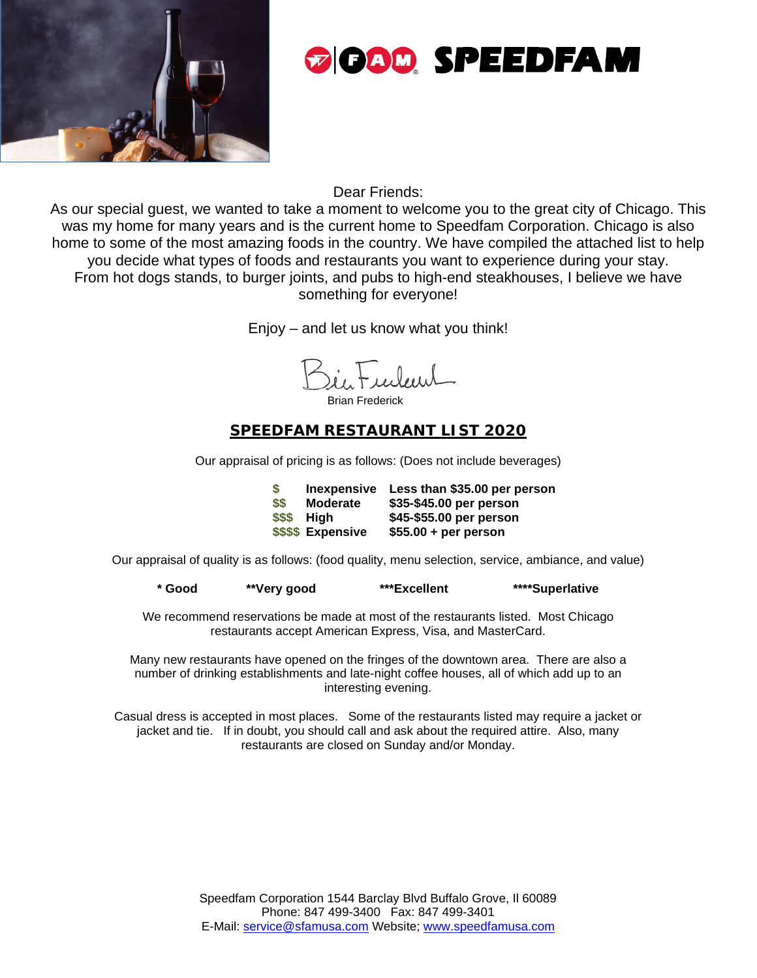



Dear Friends:

As our special guest, we wanted to take a moment to welcome you to the great city of Chicago. This was my home for many years and is the current home to Speedfam Corporation. Chicago is also home to some of the most amazing foods in the country. We have compiled the attached list to help you decide what types of foods and restaurants you want to experience during your stay. From hot dogs stands, to burger joints, and pubs to high-end steakhouses, I believe we have something for everyone!

Enjoy – and let us know what you think!

Brian Frederick

# **SPEEDFAM RESTAURANT LIST 2020**

Our appraisal of pricing is as follows: (Does not include beverages)

| \$     | <b>Inexpensive</b> | Less than \$35.00 per person |
|--------|--------------------|------------------------------|
| \$\$   | <b>Moderate</b>    | \$35-\$45.00 per person      |
| \$\$\$ | High               | \$45-\$55.00 per person      |
|        | \$\$\$\$ Expensive | $$55.00 + per person$        |

Our appraisal of quality is as follows: (food quality, menu selection, service, ambiance, and value)

**\* Good \*\*Very good \*\*\*Excellent \*\*\*\*Superlative**

We recommend reservations be made at most of the restaurants listed. Most Chicago restaurants accept American Express, Visa, and MasterCard.

Many new restaurants have opened on the fringes of the downtown area. There are also a number of drinking establishments and late-night coffee houses, all of which add up to an interesting evening.

Casual dress is accepted in most places. Some of the restaurants listed may require a jacket or jacket and tie. If in doubt, you should call and ask about the required attire. Also, many restaurants are closed on Sunday and/or Monday.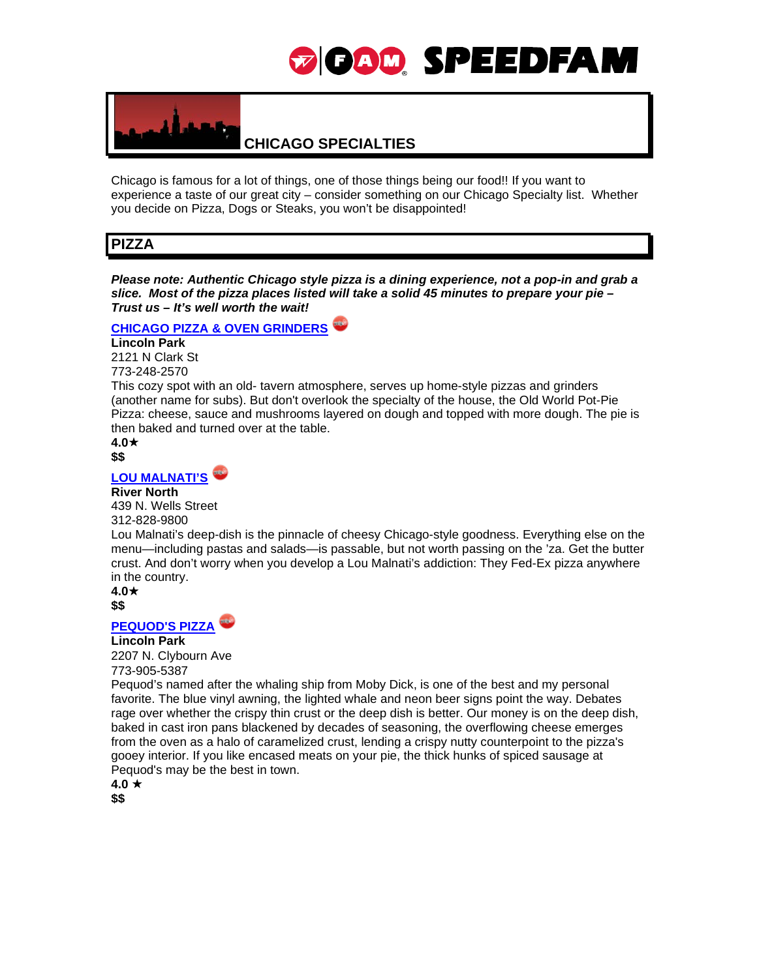

# **CHICAGO SPECIALTIES**

Chicago is famous for a lot of things, one of those things being our food!! If you want to experience a taste of our great city – consider something on our Chicago Specialty list. Whether you decide on Pizza, Dogs or Steaks, you won't be disappointed!

# **PIZZA**

*Please note: Authentic Chicago style pizza is a dining experience, not a pop-in and grab a slice. Most of the pizza places listed will take a solid 45 minutes to prepare your pie – Trust us – It's well worth the wait!*

#### **[CHICAGO PIZZA & OVEN GRINDERS](http://www.chicagopizzaandovengrinder.com/)**

**Lincoln Park** 2121 N Clark St

773-248-2570

This cozy spot with an old- tavern atmosphere, serves up home-style pizzas and grinders (another name for subs). But don't overlook the specialty of the house, the Old World Pot-Pie Pizza: cheese, sauce and mushrooms layered on dough and topped with more dough. The pie is then baked and turned over at the table.

**4.0 \$\$**

**[LOU MALNATI'S](https://www.loumalnatis.com/chicago-river-north)**

#### **River North**

439 N. Wells Street 312-828-9800

Lou Malnati's deep-dish is the pinnacle of cheesy Chicago-style goodness. Everything else on the menu—including pastas and salads—is passable, but not worth passing on the 'za. Get the butter crust. And don't worry when you develop a Lou Malnati's addiction: They Fed-Ex pizza anywhere in the country.

**4.0 \$\$**

### **[PEQUOD'S PIZZA](http://pequodspizza.com/chicago/)**

**Lincoln Park**

2207 N. Clybourn Ave 773-905-5387

Pequod's named after the whaling ship from Moby Dick, is one of the best and my personal favorite. The blue vinyl awning, the lighted whale and neon beer signs point the way. Debates rage over whether the crispy thin crust or the deep dish is better. Our money is on the deep dish, baked in cast iron pans blackened by decades of seasoning, the overflowing cheese emerges from the oven as a halo of caramelized crust, lending a crispy nutty counterpoint to the pizza's gooey interior. If you like encased meats on your pie, the thick hunks of spiced sausage at Pequod's may be the best in town.

 $4.0 \star$ **\$\$**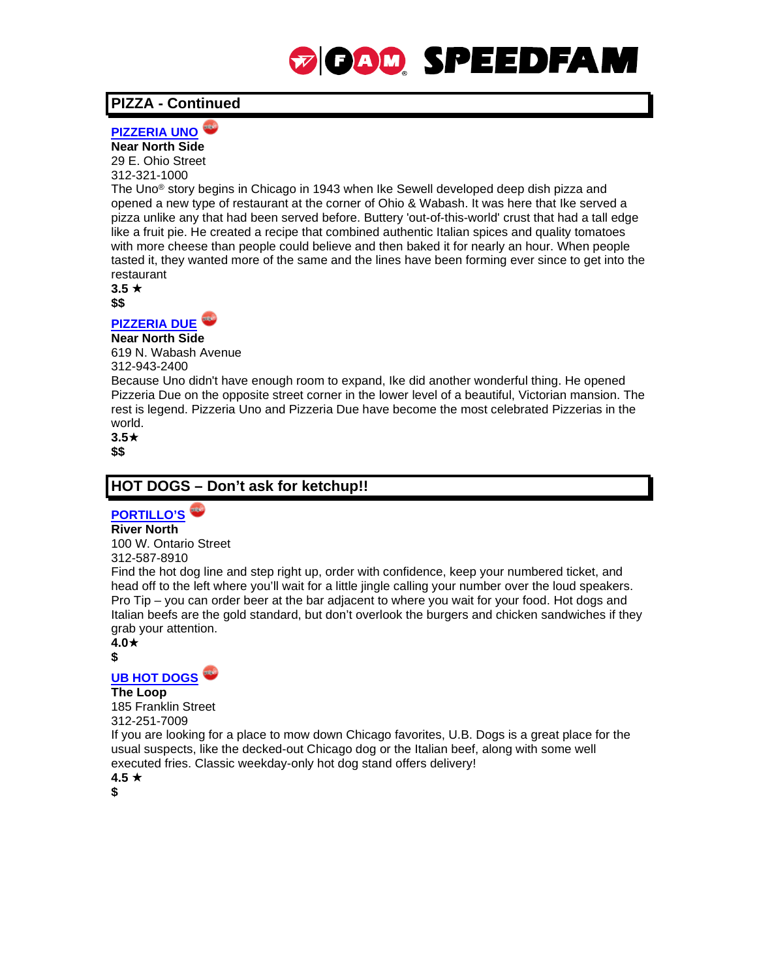# **PIZZA - Continued**



**Near North Side**

29 E. Ohio Street 312-321-1000

The Uno® story begins in Chicago in 1943 when Ike Sewell developed deep dish pizza and opened a new type of restaurant at the corner of Ohio & Wabash. It was here that Ike served a pizza unlike any that had been served before. Buttery 'out-of-this-world' crust that had a tall edge like a fruit pie. He created a recipe that combined authentic Italian spices and quality tomatoes with more cheese than people could believe and then baked it for nearly an hour. When people tasted it, they wanted more of the same and the lines have been forming ever since to get into the restaurant

 $3.5 \star$ **\$\$**

### **[PIZZERIA DUE](http://762.unotogo.com/zgrid/proc/site/sitep.jsp)**

#### **Near North Side**

619 N. Wabash Avenue 312-943-2400

Because Uno didn't have enough room to expand, Ike did another wonderful thing. He opened [Pizzeria Due](http://762.unotogo.com/zgrid/proc/site/sitep.jsp) on the opposite street corner in the lower level of a beautiful, Victorian mansion. The rest is legend. [Pizzeria Uno](http://761.unotogo.com/zgrid/proc/site/sitep.jsp) and [Pizzeria Due](http://762.unotogo.com/zgrid/proc/site/sitep.jsp) have become the most celebrated Pizzerias in the world.

 $3.5\star$ **\$\$**

# **HOT DOGS – Don't ask for ketchup!!**

# **[PORTILLO'S](http://www.portillos.com/locations/chicago/)**

**River North**

100 W. Ontario Street

312-587-8910

Find the hot dog line and step right up, order with confidence, keep your numbered ticket, and head off to the left where you'll wait for a little jingle calling your number over the loud speakers. Pro Tip – you can order beer at the bar adjacent to where you wait for your food. Hot dogs and Italian beefs are the gold standard, but don't overlook the burgers and chicken sandwiches if they grab your attention.

**4.0**

#### **\$**

# **[UB HOT DOGS](http://www.ubdogs.com/)**

#### **The Loop**

185 Franklin Street

312-251-7009

If you are looking for a place to mow down Chicago favorites, U.B. Dogs is a great place for the usual suspects, like the decked-out Chicago dog or the Italian beef, along with some well executed fries. Classic weekday-only hot dog stand offers delivery!

 $4.5 \star$ 

**\$**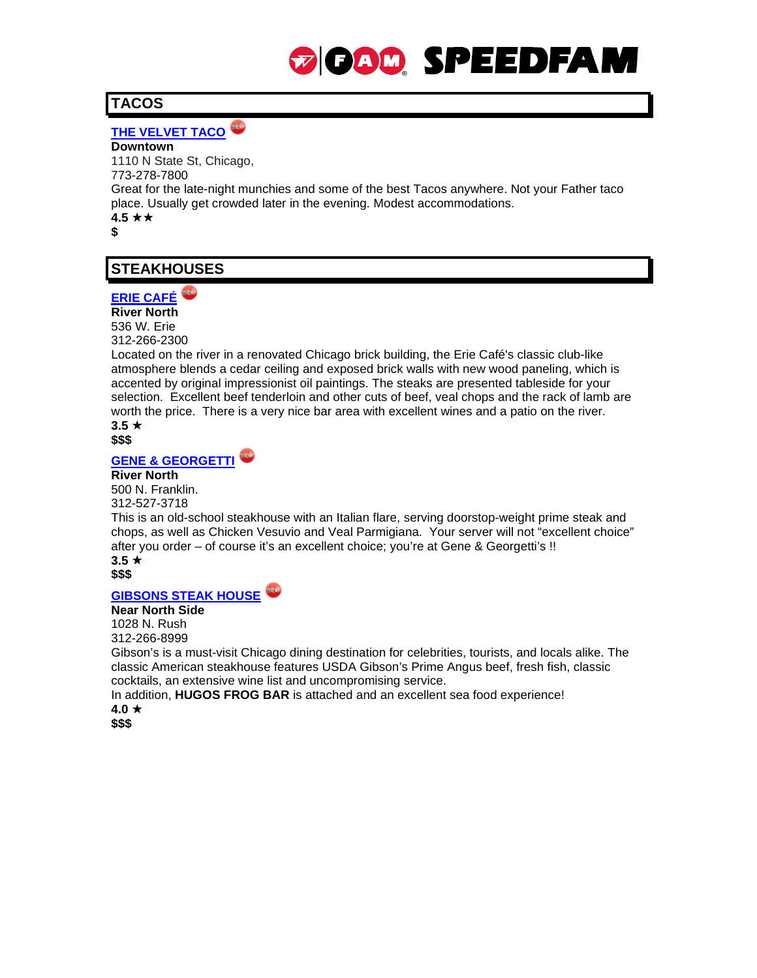# **TACOS**

# **[THE VELVET TACO](https://velvettaco.com/)**

**Downtown**

1110 N State St, Chicago, 773-278-7800

Great for the late-night munchies and some of the best Tacos anywhere. Not your Father taco place. Usually get crowded later in the evening. Modest accommodations.

 $4.5 \star \star$ **\$**

# **STEAKHOUSES**

# **[ERIE CAFÉ](http://www.eriecafe.com/#2)**

**River North**

536 W. Erie 312-266-2300

Located on the river in a renovated Chicago brick building, the Erie Café's classic club-like atmosphere blends a cedar ceiling and exposed brick walls with new wood paneling, which is accented by original impressionist oil paintings. The steaks are presented tableside for your selection. Excellent beef tenderloin and other cuts of beef, veal chops and the rack of lamb are worth the price. There is a very nice bar area with excellent wines and a patio on the river.  $3.5 \star$ 

**\$\$\$**

**[GENE & GEORGETTI](http://geneandgeorgetti.com/)**

#### **River North**

500 N. Franklin. 312-527-3718

This is an old-school steakhouse with an Italian flare, serving doorstop-weight prime steak and chops, as well as Chicken Vesuvio and Veal Parmigiana. Your server will not "excellent choice" after you order – of course it's an excellent choice; you're at Gene & Georgetti's !!

 $3.5 \star$ **\$\$\$**

### **[GIBSONS STEAK HOUSE](http://www.gibsonssteakhouse.com/chicago-pages-325.php)**

**Near North Side**

1028 N. Rush

312-266-8999

Gibson's is a must-visit Chicago dining destination for celebrities, tourists, and locals alike. The classic American steakhouse features USDA Gibson's Prime Angus beef, fresh fish, classic cocktails, an extensive wine list and uncompromising service.

In addition, **HUGOS FROG BAR** is attached and an excellent sea food experience!  $4.0 \star$ 

**\$\$\$**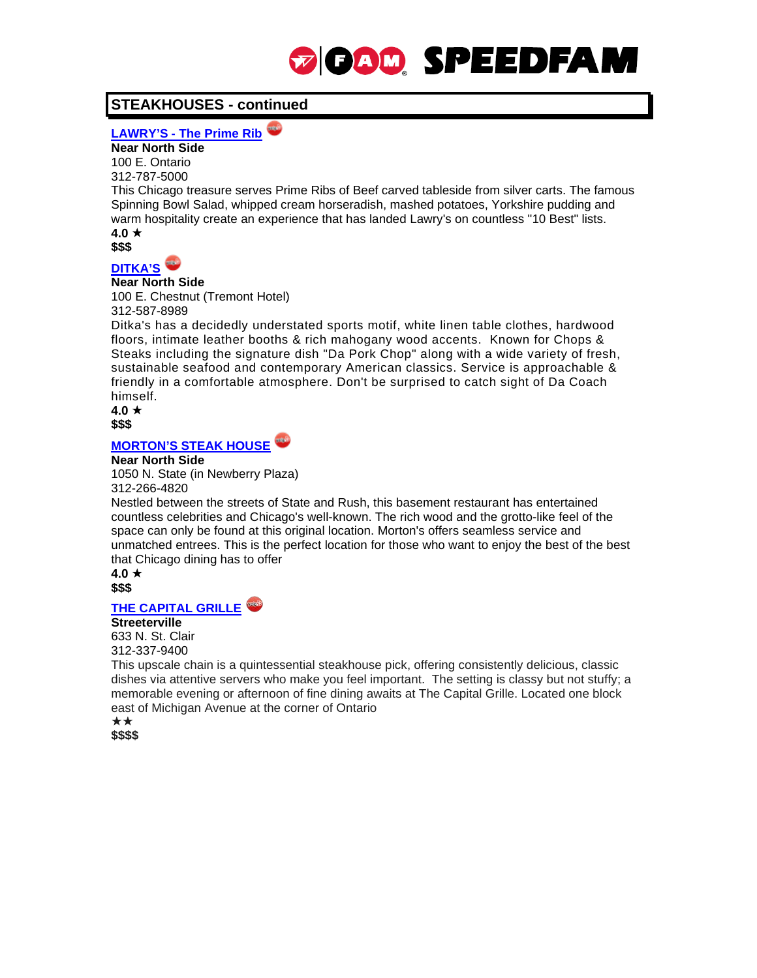# **STEAKHOUSES - continued**

#### **LAWRY'S - [The Prime Rib](http://www.lawrysonline.com/lawrys-primerib/chicago)**

**Near North Side**

100 E. Ontario

312-787-5000

This Chicago treasure serves Prime Ribs of Beef carved tableside from silver carts. The famous Spinning Bowl Salad, whipped cream horseradish, mashed potatoes, Yorkshire pudding and warm hospitality create an experience that has landed Lawry's on countless "10 Best" lists. 4.0  $\star$ 

**\$\$\$**

**[DITKA'S](https://www.ditkasrestaurants.com/)**

#### **Near North Side**

100 E. Chestnut (Tremont Hotel)

312-587-8989

Ditka's has a decidedly understated sports motif, white linen table clothes, hardwood floors, intimate leather booths & rich mahogany wood accents. Known for Chops & Steaks including the signature dish "Da Pork Chop" along with a wide variety of fresh, sustainable seafood and contemporary American classics. Service is approachable & friendly in a comfortable atmosphere. Don't be surprised to catch sight of Da Coach himself.

 $4.0 \star$ **\$\$\$**

#### **[MORTON'S STEAK HOUSE](http://www.mortons.com/statestreet/)**

#### **Near North Side**

1050 N. State (in Newberry Plaza)

312-266-4820

Nestled between the streets of State and Rush, this basement restaurant has entertained countless celebrities and Chicago's well-known. The rich wood and the grotto-like feel of the space can only be found at this original location. Morton's offers seamless service and unmatched entrees. This is the perfect location for those who want to enjoy the best of the best that Chicago dining has to offer

4.0  $\star$ **\$\$\$**

### **[THE CAPITAL GRILLE](http://www.thecapitalgrille.com/locations/il/chicago/chicago-downtown/8008)**

#### **Streeterville**

633 N. St. Clair 312-337-9400

This upscale chain is a quintessential steakhouse pick, offering consistently delicious, classic dishes via attentive servers who make you feel important. The setting is classy but not stuffy; a memorable evening or afternoon of fine dining awaits at The Capital Grille. Located one block east of Michigan Avenue at the corner of Ontario

\*\*

**\$\$\$\$**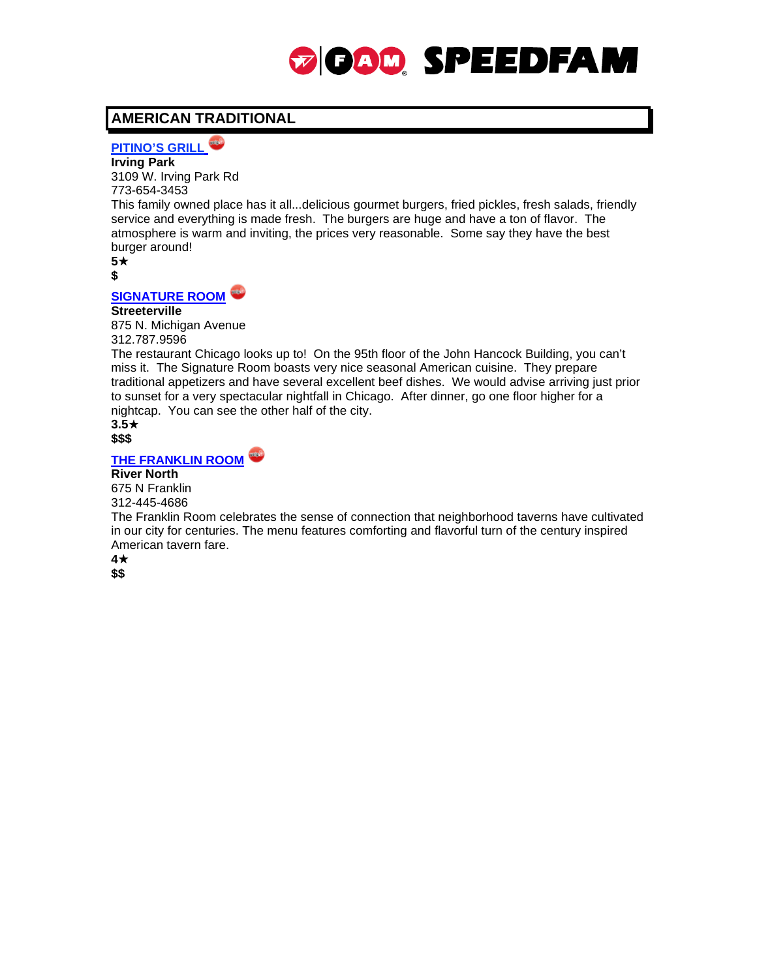# **AMERICAN TRADITIONAL**

**[PITINO'S](http://www.patinosgrillchicago.com/) GRILL** 

**Irving Park**

3109 W. Irving Park Rd 773-654-3453

This family owned place has it all...delicious gourmet burgers, fried pickles, fresh salads, friendly service and everything is made fresh. The burgers are huge and have a ton of flavor. The atmosphere is warm and inviting, the prices very reasonable. Some say they have the best burger around!

**5 \$**

**[SIGNATURE ROOM](https://www.signatureroom.com/)**

#### **Streeterville**

875 N. Michigan Avenue 312.787.9596

The restaurant Chicago looks up to! On the 95th floor of the John Hancock Building, you can't miss it. The Signature Room boasts very nice seasonal American cuisine. They prepare traditional appetizers and have several excellent beef dishes. We would advise arriving just prior to sunset for a very spectacular nightfall in Chicago. After dinner, go one floor higher for a nightcap. You can see the other half of the city.

 $3.5\star$ **\$\$\$**

**[THE FRANKLIN ROOM](http://www.franklinroom.com/menus/)**

**River North**

675 N Franklin 312-445-4686

The Franklin Room celebrates the sense of connection that neighborhood taverns have cultivated in our city for centuries. The [menu](http://franklinroom.com/Menus/) features comforting and flavorful turn of the century inspired American tavern fare.

**4**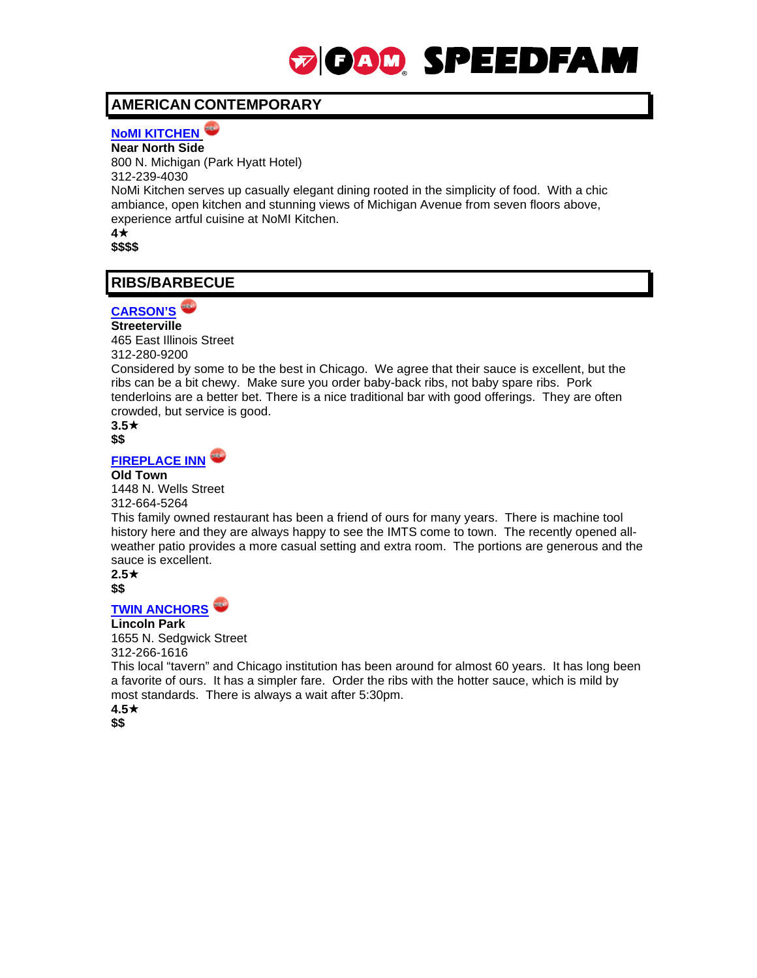# **AMERICAN CONTEMPORARY**

**NoMI [KITCHEN](http://chicago.park.hyatt.com/en/hotel/dining.html)**

**Near North Side**

800 N. Michigan (Park Hyatt Hotel) 312-239-4030

NoMi Kitchen serves up casually elegant dining rooted in the simplicity of food. With a chic ambiance, open kitchen and stunning views of Michigan Avenue from seven floors above, experience artful cuisine at NoMI Kitchen.

**4**

**\$\$\$\$**

# **RIBS/BARBECUE**

### **[CARSON'S](https://www.ribs.com/)**

#### **Streeterville**

465 East Illinois Street 312-280-9200

Considered by some to be the best in Chicago. We agree that their sauce is excellent, but the ribs can be a bit chewy. Make sure you order baby-back ribs, not baby spare ribs. Pork tenderloins are a better bet. There is a nice traditional bar with good offerings. They are often crowded, but service is good.

**3.5 \$\$**

**[FIREPLACE INN](http://fireplaceinn.com/)**

#### **Old Town**

1448 N. Wells Street 312-664-5264

This family owned restaurant has been a friend of ours for many years. There is machine tool history here and they are always happy to see the IMTS come to town. The recently opened allweather patio provides a more casual setting and extra room. The portions are generous and the sauce is excellent.

 $2.5\star$ **\$\$**

### **[TWIN ANCHORS](http://twinanchorsribs.com/)**

#### **Lincoln Park**

1655 N. Sedgwick Street 312-266-1616

This local "tavern" and Chicago institution has been around for almost 60 years. It has long been a favorite of ours. It has a simpler fare. Order the ribs with the hotter sauce, which is mild by most standards. There is always a wait after 5:30pm.

**4.5**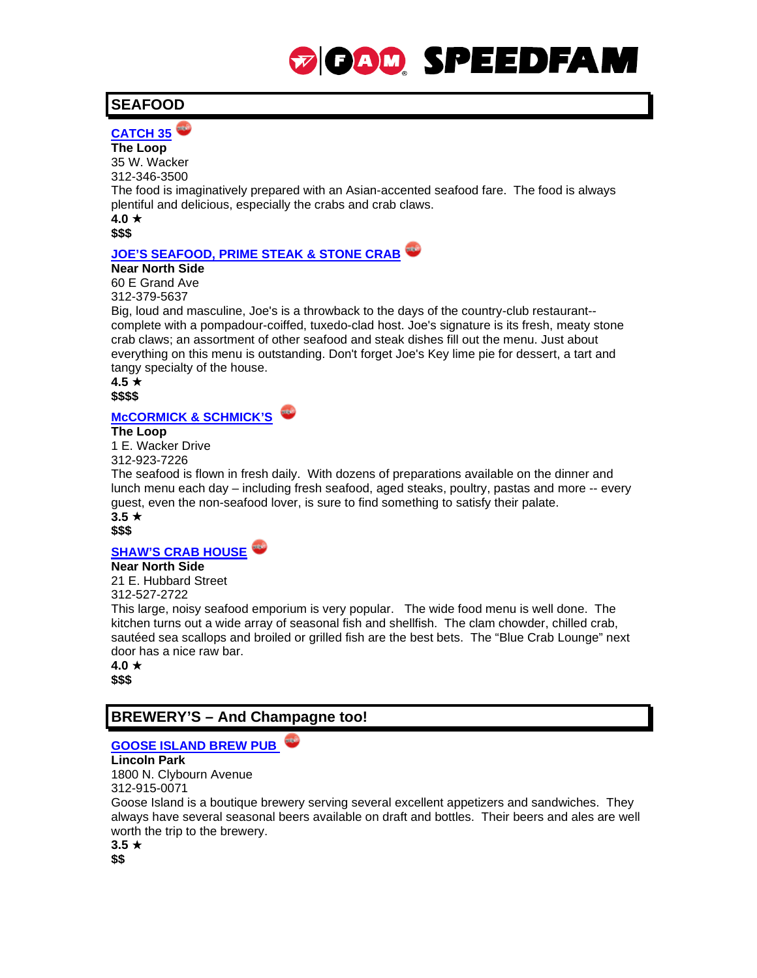# **SEAFOOD**

#### **[CATCH 35](http://www.catch35.com/)**

**The Loop** 35 W. Wacker

312-346-3500

The food is imaginatively prepared with an Asian-accented seafood fare. The food is always plentiful and delicious, especially the crabs and crab claws.

4.0  $\star$ **\$\$\$**

# **[JOE'S SEAFOOD, PRIME STEAK & STONE CRAB](http://joes.net/chicago/)**

#### **Near North Side**

60 E Grand Ave 312-379-5637

Big, loud and masculine, Joe's is a throwback to the days of the country-club restaurant- complete with a pompadour-coiffed, tuxedo-clad host. Joe's signature is its fresh, meaty stone crab claws; an assortment of other seafood and steak dishes fill out the menu. Just about everything on this menu is outstanding. Don't forget Joe's Key lime pie for dessert, a tart and tangy specialty of the house.

 $4.5 \star$ **\$\$\$\$**

# **[McCORMICK & SCHMICK'S](http://www.mccormickandschmicks.com/Locations/chicago-illinois/chicago-illinois/1EWackerDr.aspx?utm_campaign=Yext&utm_source=Yext&utm_medium=Website&utm_content=MSWA)**

#### **The Loop**

1 E. Wacker Drive 312-923-7226

The seafood is flown in fresh daily. With dozens of preparations available on the dinner and lunch menu each day – including fresh seafood, aged steaks, poultry, pastas and more -- every guest, even the non-seafood lover, is sure to find something to satisfy their palate.

#### $3.5 \star$ **\$\$\$**

# **[SHAW'S CRAB HOUSE](http://shawscrabhouse.com/)**

**Near North Side**

21 E. Hubbard Street

312-527-2722

This large, noisy seafood emporium is very popular. The wide food menu is well done. The kitchen turns out a wide array of seasonal fish and shellfish. The clam chowder, chilled crab, sautéed sea scallops and broiled or grilled fish are the best bets. The "Blue Crab Lounge" next door has a nice raw bar.

 $4.0 \star$ **\$\$\$**

# **BREWERY'S – And Champagne too!**

### **[GOOSE ISLAND BREW PUB](http://www.gooseislandbrewpubs.com/)**

**Lincoln Park** 1800 N. Clybourn Avenue

312-915-0071

Goose Island is a boutique brewery serving several excellent appetizers and sandwiches. They always have several seasonal beers available on draft and bottles. Their beers and ales are well worth the trip to the brewery.

 $3.5 \star$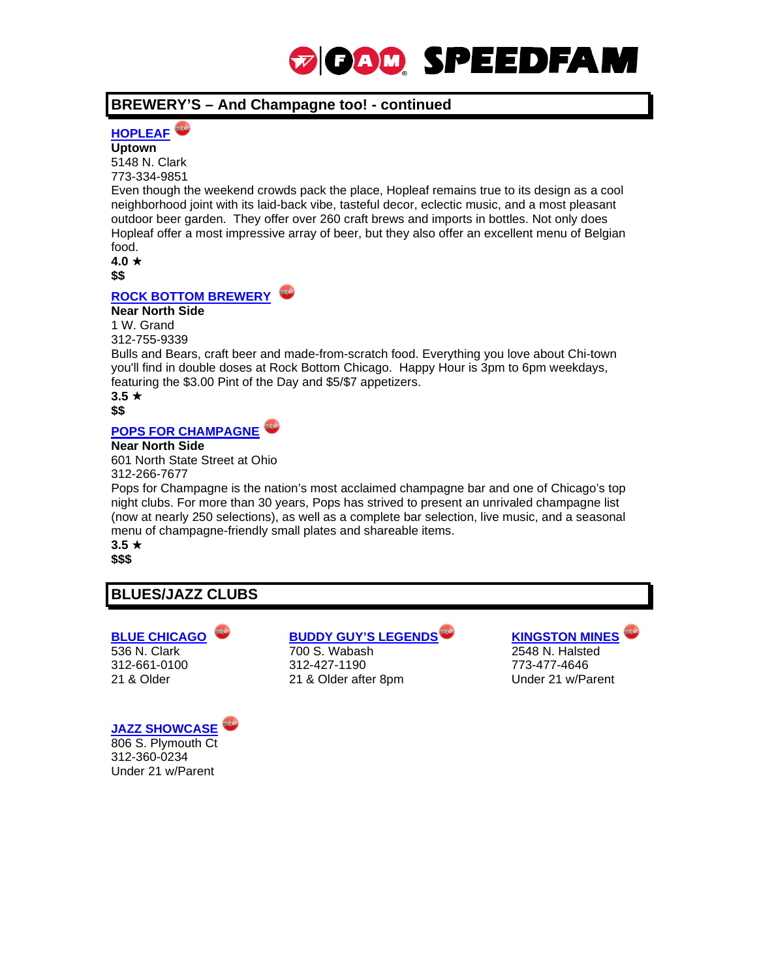# **BREWERY'S – And Champagne too! - continued**

**[HOPLEAF](http://www.hopleafbar.com/)**

**Uptown**

5148 N. Clark

773-334-9851

Even though the weekend crowds pack the place, Hopleaf remains true to its design as a cool neighborhood joint with its laid-back vibe, tasteful decor, eclectic music, and a most pleasant outdoor beer garden. They offer over 260 craft brews and imports in bottles. Not only does Hopleaf offer a most impressive array of beer, but they also offer an excellent menu of Belgian food.

 $4.0 \star$ 

**\$\$**

#### **[ROCK BOTTOM BREWERY](http://www.rockbottom.com/)**

#### **Near North Side**

1 W. Grand 312-755-9339

Bulls and Bears, craft beer and made-from-scratch food. Everything you love about Chi-town you'll find in double doses at Rock Bottom Chicago. Happy Hour is 3pm to 6pm weekdays, featuring the \$3.00 Pint of the Day and \$5/\$7 appetizers.

 $3.5 \star$ **\$\$**

#### **[POPS FOR CHAMPAGNE](http://popsforchampagne.com/)**

**Near North Side**

601 North State Street at Ohio

312-266-7677

Pops for Champagne is the nation's most acclaimed champagne bar and one of Chicago's top night clubs. For more than 30 years, Pops has strived to present an unrivaled champagne list (now at nearly 250 selections), as well as a complete bar selection, live music, and a seasonal menu of champagne-friendly small plates and shareable items.

 $3.5 \star$ **\$\$\$**

# **BLUES/JAZZ CLUBS**

# **[BLUE CHICAGO](http://www.bluechicago.com/) [BUDDY GUY'S LEGENDS](http://buddyguy.com/) [KINGSTON MINES](http://kingstonmines.com/)**

312-661-0100 312-427-1190 773-477-4646 21 & Older 21 & Older after 8pm Under 21 w/Parent

2548 N. Halsted

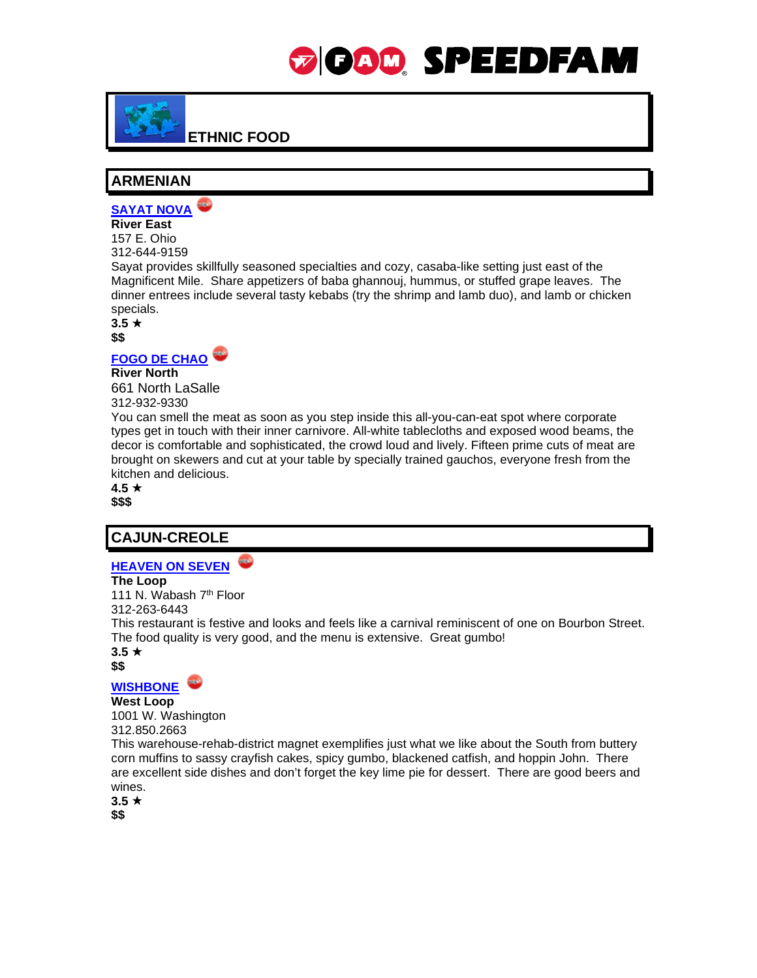

**ETHNIC FOOD**

# **ARMENIAN**



**River East**

157 E. Ohio 312-644-9159

Sayat provides skillfully seasoned specialties and cozy, casaba-like setting just east of the Magnificent Mile. Share appetizers of baba ghannouj, hummus, or stuffed grape leaves. The dinner entrees include several tasty kebabs (try the shrimp and lamb duo), and lamb or chicken specials.

 $3.5 \star$ 

**\$\$** 

# **[FOGO DE CHAO](http://fogodechao.com/location/chicago)**

### **River North**

661 North LaSalle 312-932-9330

You can smell the meat as soon as you step inside this all-you-can-eat spot where corporate types get in touch with their inner carnivore. All-white tablecloths and exposed wood beams, the decor is comfortable and sophisticated, the crowd loud and lively. Fifteen prime cuts of meat are brought on skewers and cut at your table by specially trained gauchos, everyone fresh from the kitchen and delicious.

 $4.5 \star$ **\$\$\$**

# **CAJUN-CREOLE**

# **[HEAVEN ON SEVEN](http://www.heavenonseven.com/wabash.html)**

#### **The Loop**

111 N. Wabash 7<sup>th</sup> Floor

312-263-6443

This restaurant is festive and looks and feels like a carnival reminiscent of one on Bourbon Street. The food quality is very good, and the menu is extensive. Great gumbo!

 $3.5 \star$ 

**\$\$**

# **[WISHBONE](http://www.wishbonechicago.com/)**

#### **West Loop**

1001 W. Washington 312.850.2663

This warehouse-rehab-district magnet exemplifies just what we like about the South from buttery corn muffins to sassy crayfish cakes, spicy gumbo, blackened catfish, and hoppin John. There are excellent side dishes and don't forget the key lime pie for dessert. There are good beers and wines.

 $3.5 \star$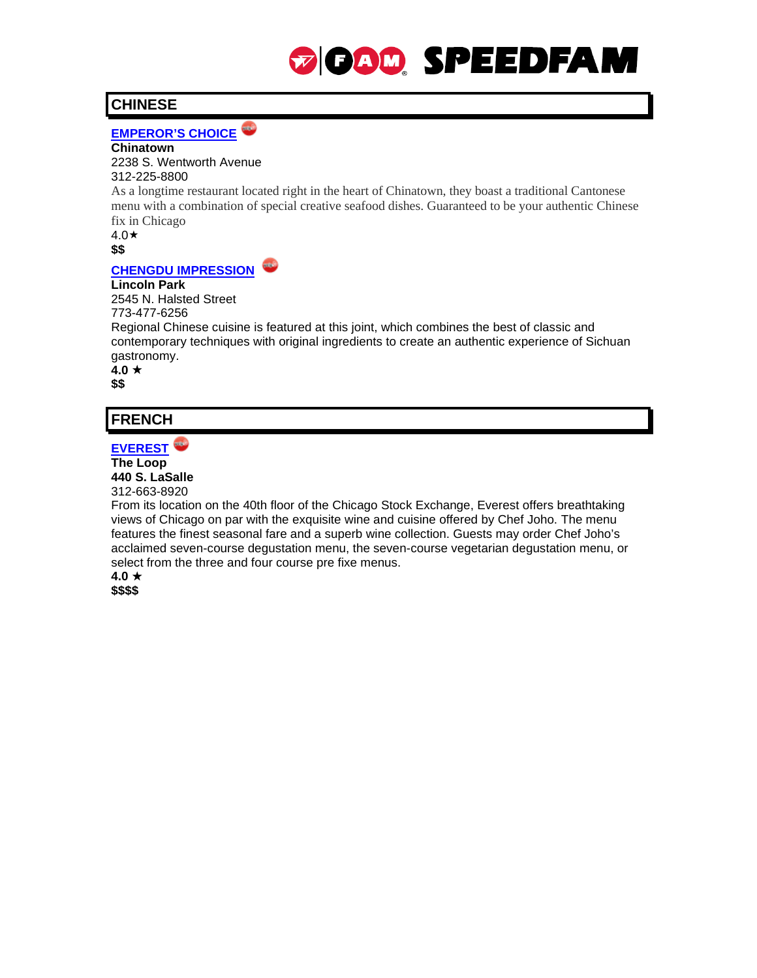# **CHINESE**

#### **[EMPEROR'S CHOICE](http://www.chicagoemperorschoice.com/)**

#### **Chinatown**

2238 S. Wentworth Avenue 312-225-8800

As a longtime restaurant located right in the heart of Chinatown, they boast a traditional Cantonese menu with a combination of special creative seafood dishes. Guaranteed to be your authentic Chinese fix in Chicago

 $4.0\star$ **\$\$**

#### **[CHENGDU IMPRESSION](http://www.chengduimpression.com/)**

#### **Lincoln Park**

2545 N. Halsted Street 773-477-6256 Regional Chinese cuisine is featured at this joint, which combines the best of classic and contemporary techniques with original ingredients to create an authentic experience of Sichuan gastronomy.  $4.0 \star$ 

**\$\$**

# **FRENCH**

# **[EVEREST](http://www.everestrestaurant.com/)**

**The Loop 440 S. LaSalle**

312-663-8920

From its location on the 40th floor of the Chicago Stock Exchange, Everest offers breathtaking views of Chicago on par with the exquisite wine and cuisine offered by Chef Joho. The menu features the finest seasonal fare and a superb wine collection. Guests may order Chef Joho's acclaimed seven-course degustation menu, the seven-course vegetarian degustation menu, or select from the three and four course pre fixe menus.

 $4.0 \star$ **\$\$\$\$**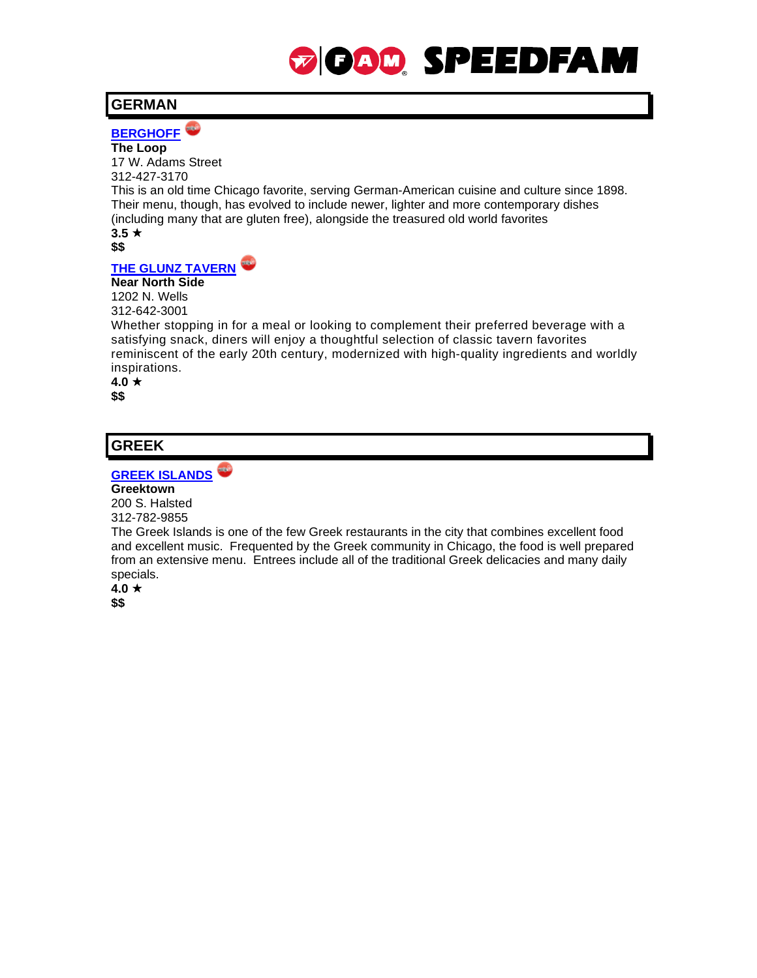# **GERMAN**

#### **[BERGHOFF](http://www.theberghoff.com/contact/)**

**The Loop** 17 W. Adams Street 312-427-3170

This is an old time Chicago favorite, serving German-American cuisine and culture since 1898. Their menu, though, has evolved to include newer, lighter and more contemporary dishes (including many that are [gluten free\)](http://www.theberghoff.com/cuisine-menus-certified-gluten-free/), alongside the treasured old world favorites  $3.5 \star$ 

**\$\$**

#### **[THE GLUNZ TAVERN](http://www.glunztavern.com/)**

**Near North Side** 1202 N. Wells

312-642-3001

Whether stopping in for a meal or looking to complement their preferred beverage with a satisfying snack, diners will enjoy a thoughtful selection of classic tavern favorites reminiscent of the early 20th century, modernized with high-quality ingredients and worldly inspirations.

 $4.0 \star$ **\$\$**

# **GREEK**

### **[GREEK ISLANDS](http://www.greekislands.net/)**

#### **Greektown**

200 S. Halsted 312-782-9855

The Greek Islands is one of the few Greek restaurants in the city that combines excellent food and excellent music. Frequented by the Greek community in Chicago, the food is well prepared from an extensive menu. Entrees include all of the traditional Greek delicacies and many daily specials.

 $4.0 \star$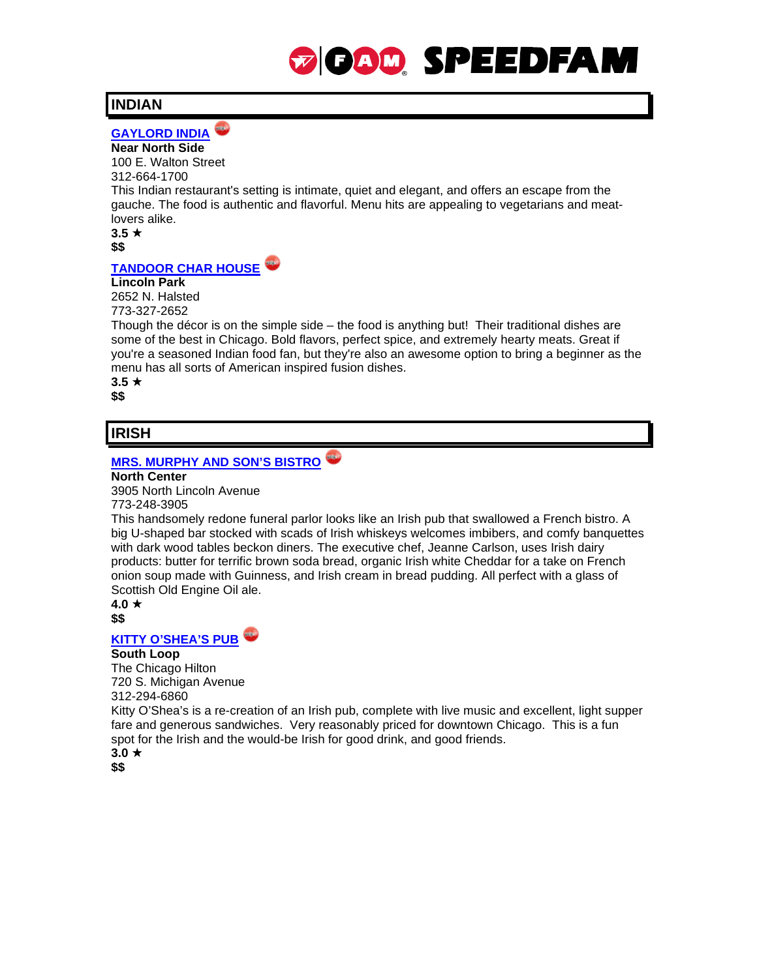# **INDIAN**

#### **[GAYLORD INDIA](http://gaylordil.com/)**

**Near North Side** 100 E. Walton Street 312-664-1700

This Indian restaurant's setting is intimate, quiet and elegant, and offers an escape from the gauche. The food is authentic and flavorful. Menu hits are appealing to vegetarians and meatlovers alike.

 $3.5 \star$ **\$\$**

**[TANDOOR CHAR HOUSE](http://tandoorchicago.com/)**

**Lincoln Park**

2652 N. Halsted 773-327-2652

Though the décor is on the simple side – the food is anything but! Their traditional dishes are some of the best in Chicago. Bold flavors, perfect spice, and extremely hearty meats. Great if you're a seasoned Indian food fan, but they're also an awesome option to bring a beginner as the menu has all sorts of American inspired fusion dishes.

 $3.5 \star$ **\$\$**

# **IRISH**

### **[MRS. MURPHY AND SON'S BISTRO](http://irishbistro.com/)**

#### **North Center**

3905 North Lincoln Avenue 773-248-3905

This handsomely redone funeral parlor looks like an Irish pub that swallowed a French bistro. A big U-shaped bar stocked with scads of Irish whiskeys welcomes imbibers, and comfy banquettes with dark wood tables beckon diners. The executive chef, Jeanne Carlson, uses Irish dairy products: butter for terrific brown soda bread, organic Irish white Cheddar for a take on French onion soup made with Guinness, and Irish cream in bread pudding. All perfect with a glass of Scottish Old Engine Oil ale.

# $4.0 \star$

**\$\$**

### **[KITTY O'SHEA'S PUB](http://www.hiltonchicagohotel.com/hotel-amenities/restaurants-bars/kitty-o-sheas/)**

#### **South Loop**

The Chicago Hilton 720 S. Michigan Avenue 312-294-6860

Kitty O'Shea's is a re-creation of an Irish pub, complete with live music and excellent, light supper fare and generous sandwiches. Very reasonably priced for downtown Chicago. This is a fun spot for the Irish and the would-be Irish for good drink, and good friends.

 $3.0 \star$ **\$\$**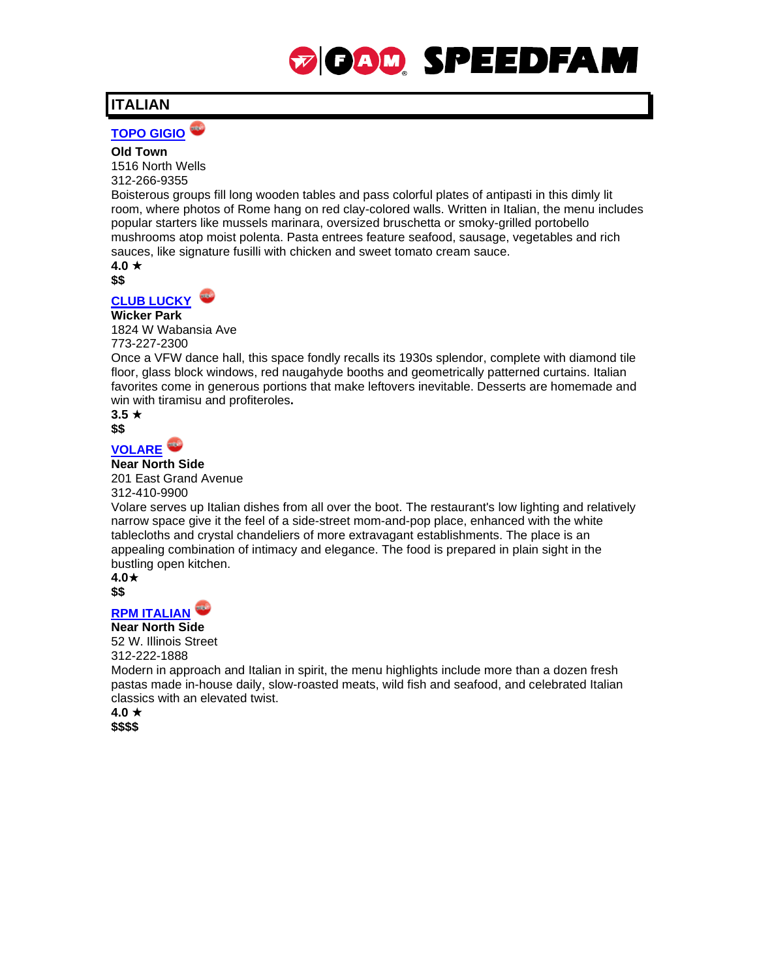# **ITALIAN**

### **[TOPO GIGIO](http://topogigiochicago.com/?doing_wp_cron=1469118270.7148599624633789062500http://topogigiochicago.com/?doing_wp_cron=1469118270.7148599624633789062500)**

#### **Old Town**

1516 North Wells

312-266-9355

Boisterous groups fill long wooden tables and pass colorful plates of antipasti in this dimly lit room, where photos of Rome hang on red clay-colored walls. Written in Italian, the menu includes popular starters like mussels marinara, oversized bruschetta or smoky-grilled portobello mushrooms atop moist polenta. Pasta entrees feature seafood, sausage, vegetables and rich sauces, like signature fusilli with chicken and sweet tomato cream sauce.  $4.0 \star$ 

**\$\$**

### **[CLUB LUCKY](https://clubluckychicago.com/)**

#### **Wicker Park**

1824 W Wabansia Ave

773-227-2300

Once a VFW dance hall, this space fondly recalls its 1930s splendor, complete with diamond tile floor, glass block windows, red naugahyde booths and geometrically patterned curtains. Italian favorites come in generous portions that make leftovers inevitable. Desserts are homemade and win with tiramisu and profiteroles**.**

 $3.5 \star$ **\$\$**

### **[VOLARE](http://volarerestaurant.com/)**

**Near North Side**

201 East Grand Avenue 312-410-9900

Volare serves up Italian dishes from all over the boot. The restaurant's low lighting and relatively narrow space give it the feel of a side-street mom-and-pop place, enhanced with the white tablecloths and crystal chandeliers of more extravagant establishments. The place is an appealing combination of intimacy and elegance. The food is prepared in plain sight in the bustling open kitchen.

**4.0 \$\$**

### **[RPM ITALIAN](http://rpmrestaurants.com/rpmitalian/chicago/)**

**Near North Side** 52 W. Illinois Street

312-222-1888

Modern in approach and Italian in spirit, the menu highlights include more than a dozen fresh pastas made in-house daily, slow-roasted meats, wild fish and seafood, and celebrated Italian classics with an elevated twist.

 $4.0 \star$ **\$\$\$\$**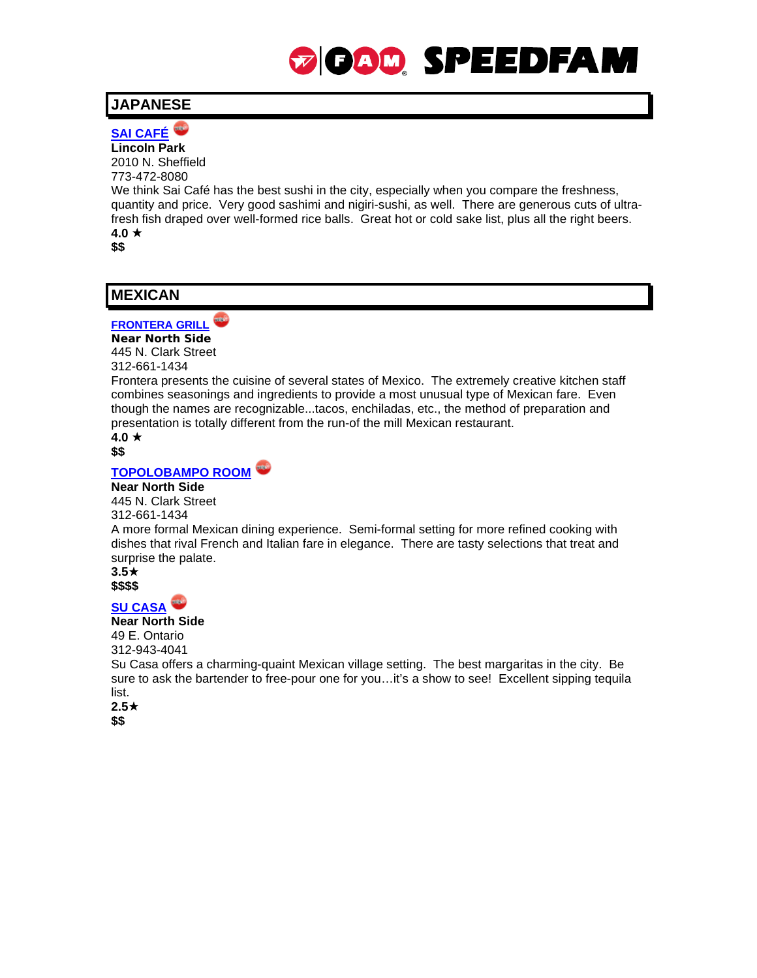# **JAPANESE**

**[SAI CAFÉ](http://www.saicafe.com/)**

**Lincoln Park** 2010 N. Sheffield 773-472-8080

We think Sai Café has the best sushi in the city, especially when you compare the freshness, quantity and price. Very good sashimi and nigiri-sushi, as well. There are generous cuts of ultrafresh fish draped over well-formed rice balls. Great hot or cold sake list, plus all the right beers.  $4.0 \star$ 

**\$\$**

# **MEXICAN**

### **[FRONTERA GRILL](http://www.rickbayless.com/restaurants/frontera-grill/)**

**Near North Side** 445 N. Clark Street 312-661-1434

Frontera presents the cuisine of several states of Mexico. The extremely creative kitchen staff combines seasonings and ingredients to provide a most unusual type of Mexican fare. Even though the names are recognizable...tacos, enchiladas, etc., the method of preparation and presentation is totally different from the run-of the mill Mexican restaurant.

 $4.0 \star$ **\$\$**

### **[TOPOLOBAMPO ROOM](http://www.rickbayless.com/restaurants/topolobampo/)**

**Near North Side**

445 N. Clark Street

312-661-1434

A more formal Mexican dining experience. Semi-formal setting for more refined cooking with dishes that rival French and Italian fare in elegance. There are tasty selections that treat and surprise the palate.

 $3.5\star$ **\$\$\$\$**

# **[SU CASA](http://www.sucasamexican.com/zgrid/proc/site/sitep.jsp)**

### **Near North Side**

49 E. Ontario

312-943-4041

Su Casa offers a charming-quaint Mexican village setting. The best margaritas in the city. Be sure to ask the bartender to free-pour one for you...it's a show to see! Excellent sipping tequila list.

**2.5 \$\$**